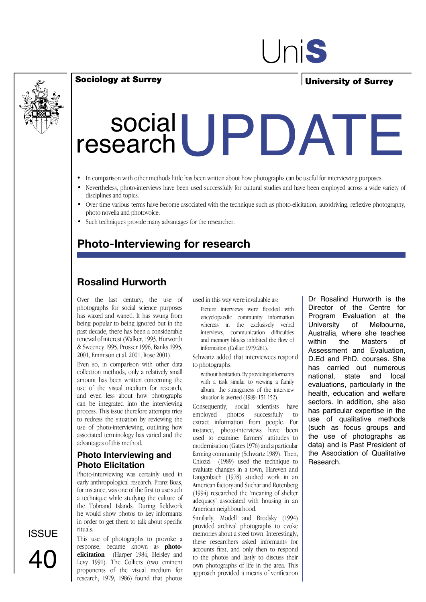

#### Sociology at Surrey

### University of Surrey

# Social UPDATE research

- In comparison with other methods little has been written about how photographs can be useful for interviewing purposes.
- Nevertheless, photo-interviews have been used successfully for cultural studies and have been employed across a wide variety of disciplines and topics.
- Over time various terms have become associated with the technique such as photo-elicitation, autodriving, reflexive photography, photo novella and photovoice.
- Such techniques provide many advantages for the researcher.

### **Photo-Interviewing for research**

### **Rosalind Hurworth**

Over the last century, the use of photographs for social science purposes has waxed and waned. It has swung from being popular to being ignored but in the past decade, there has been a considerable renewal of interest (Walker, 1993, Hurworth & Sweeney 1995, Prosser 1996, Banks 1995, 2001, Emmison et al. 2001, Rose 2001).

Even so, in comparison with other data collection methods, only a relatively small amount has been written concerning the use of the visual medium for research, and even less about how photographs can be integrated into the interviewing process. This issue therefore attempts tries to redress the situation by reviewing the use of photo-interviewing, outlining how associated terminology has varied and the advantages of this method.

#### **Photo Interviewing and Photo Elicitation**

Photo-interviewing was certainly used in early anthropological research. Franz Boas, for instance, was one of the first to use such a technique while studying the culture of the Tobriand Islands. During fieldwork he would show photos to key informants in order to get them to talk about specific rituals.

This use of photographs to provoke a response, became known as **photoelicitation** (Harper 1984, Heisley and Levy 1991). The Colliers (two eminent proponents of the visual medium for research, 1979, 1986) found that photos

used in this way were invaluable as:

Picture interviews were flooded with encyclopaedic community information whereas in the exclusively verbal interviews, communication difficulties and memory blocks inhibited the flow of information (Collier 1979:281).

Schwartz added that interviewees respond to photographs,

without hesitation. By providing informants with a task similar to viewing a family album, the strangeness of the interview situation is averted (1989: 151-152).

Consequently, social scientists have employed photos successfully to extract information from people. For instance, photo-interviews have been used to examine: farmers' attitudes to modernisation (Gates 1976) and a particular farming community (Schwartz 1989). Then, Chiozzi (1989) used the technique to evaluate changes in a town, Hareven and Langenbach (1978) studied work in an American factory and Suchar and Rotenberg (1994) researched the 'meaning of shelter adequacy' associated with housing in an American neighbourhood.

Similarly, Modell and Brodsky (1994) provided archival photographs to evoke memories about a steel town. Interestingly, these researchers asked informants for accounts first, and only then to respond to the photos and lastly to discuss their own photographs of life in the area. This approach provided a means of verification Dr Rosalind Hurworth is the Director of the Centre for Program Evaluation at the University of Melbourne, Australia, where she teaches<br>within the Masters of Masters Assessment and Evaluation, D.Ed and PhD. courses. She has carried out numerous national, state and local evaluations, particularly in the health, education and welfare sectors. In addition, she also has particular expertise in the use of qualitative methods (such as focus groups and the use of photographs as data) and is Past President of the Association of Qualitative Research.

ISSUE 40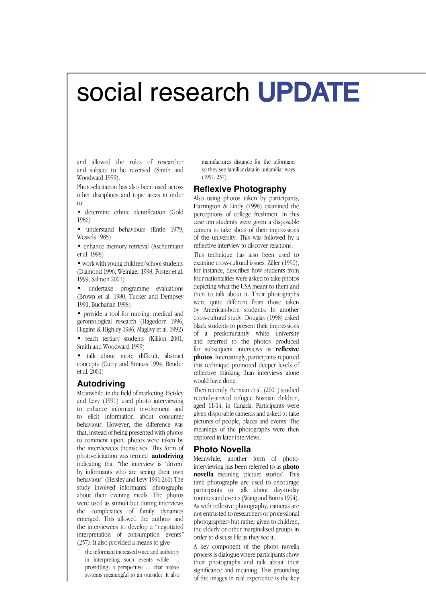## social research UPDATE

and allowed the roles of researcher and subject to be reversed (Smith and Woodward 1999).

Photo-elicitation has also been used across other disciplines and topic areas in order to:

• determine ethnic identification (Gold 1986)

understand behaviours (Entin 1979, Wessels 1985)

• enhance memory retrieval (Aschermann et al. 1998)

• work with young children/school students (Diamond 1996, Weiniger 1998, Foster et al. 1999, Salmon 2001)

undertake programme evaluations (Brown et al. 1980, Tucker and Dempsey 1991, Buchanan 1998)

• provide a tool for nursing, medical and gerontological research (Hagedorn 1996, Higgins & Highley 1986, Magilvy et al. 1992)

• teach tertiary students (Killion 2001, Smith and Woodward 1999)

• talk about more difficult, abstract concepts (Curry and Strauss 1994, Bender et al. 2001)

#### **Autodriving**

Meanwhile, in the field of marketing, Heisley and Levy (1991) used photo interviewing to enhance informant involvement and to elicit information about consumer behaviour. However, the difference was that, instead of being presented with photos to comment upon, photos were taken by the interviewees themselves. This form of photo-elicitation was termed **autodriving**  indicating that *"*the interview is 'driven' by informants who are seeing their own behaviour" (Heisley and Levy 1991:261) The study involved informants' photographs about their evening meals. The photos were used as stimuli but during interviews the complexities of family dynamics emerged. This allowed the authors and the interviewees to develop a "negotiated interpretation of consumption events*"*  (257*)*. It also provided a means to give

the informant increased voice and authority in interpreting such events while … provid[ing] a perspective … that makes systems meaningful to an outsider. It also manufactures distance for the informant so they see familiar data in unfamiliar ways (1991: 257).

#### **Reflexive Photography**

Also using photos taken by participants, Harrington & Lindy (1998) examined the perceptions of college freshmen. In this case ten students were given a disposable camera to take shots of their impressions of the university. This was followed by a reflective interview to discover reactions.

This technique has also been used to examine cross-cultural issues. Ziller (1990), for instance, describes how students from four nationalities were asked to take photos depicting what the USA meant to them and then to talk about it. Their photographs were quite different from those taken by American-born students. In another cross-cultural study, Douglas (1998) asked black students to present their impressions of a predominantly white university and referred to the photos produced for subsequent interviews as **reflexive photos**. Interestingly, participants reported this technique promoted deeper levels of reflective thinking than interviews alone would have done.

Then recently, Berman et al. (2001) studied recently-arrived refugee Bosnian children, aged 11-14, in Canada. Participants were given disposable cameras and asked to take pictures of people, places and events. The meanings of the photographs were then explored in later interviews.

#### **Photo Novella**

Meanwhile, another form of photointerviewing has been referred to as **photo novella** meaning 'picture stories'. This time photographs are used to encourage participants to talk about day-to-day routines and events (Wang and Burris 1994). As with reflexive photography, cameras are not entrusted to researchers or professional photographers but rather given to children, the elderly or other marginalised groups in order to discuss life as they see it.

A key component of the photo novella process is dialogue where participants show their photographs and talk about their significance and meaning. This grounding of the images in real experience is the key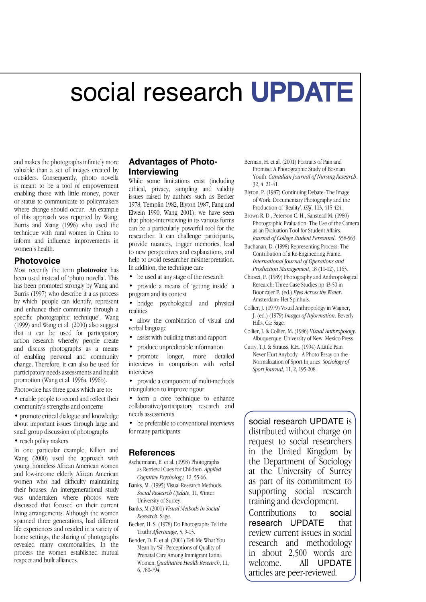## social research UPDATE

and makes the photographs infinitely more valuable than a set of images created by outsiders. Consequently, photo novella is meant to be a tool of empowerment enabling those with little money, power or status to communicate to policymakers where change should occur. An example of this approach was reported by Wang, Burris and Xiang (1996) who used the technique with rural women in China to inform and influence improvements in women's health.

#### **Photovoice**

Most recently the term **photovoice** has been used instead of 'photo novella'. This has been promoted strongly by Wang and Burris (1997) who describe it a as process by which 'people can identify, represent and enhance their community through a specific photographic technique'. Wang (1999) and Wang et al. (2000) also suggest that it can be used for participatory action research whereby people create and discuss photographs as a means of enabling personal and community change. Therefore, it can also be used for participatory needs assessments and health promotion (Wang et al. 1996a, 1996b).

- Photovoice has three goals which are to:
- enable people to record and reflect their community's strengths and concerns
- promote critical dialogue and knowledge about important issues through large and small group discussion of photographs
- reach policy makers.

In one particular example, Killion and Wang (2000) used the approach with young, homeless African American women and low-income elderly African American women who had difficulty maintaining their houses. An intergenerational study was undertaken where photos were discussed that focused on their current living arrangements. Although the women spanned three generations, had different life experiences and resided in a variety of home settings, the sharing of photographs revealed many commonalities. In the process the women established mutual respect and built alliances.

#### **Advantages of Photo-Interviewing**

While some limitations exist (including ethical, privacy, sampling and validity issues raised by authors such as Becker 1978, Templin 1982, Blyton 1987, Fang and Elwein 1990, Wang 2001), we have seen that photo-interviewing in its various forms can be a particularly powerful tool for the researcher. It can challenge participants, provide nuances, trigger memories, lead to new perspectives and explanations, and help to avoid researcher misinterpretation. In addition, the technique can:

- be used at any stage of the research
- provide a means of 'getting inside' a program and its context
- bridge psychological and physical realities
- allow the combination of visual and verbal language
- assist with building trust and rapport
- produce unpredictable information
- promote longer, more detailed interviews in comparison with verbal interviews
- provide a component of multi-methods triangulation to improve rigour
- form a core technique to enhance collaborative/participatory research and needs assessments
- be preferable to conventional interviews for many participants.

#### **References**

- Aschermann, E. et al. (1998) Photographs as Retrieval Cues for Children. *Applied Cognitive Psychology,* 12, 55-66.
- Banks, M. (1995) Visual Research Methods. *Social Research Update*, 11, Winter. University of Surrey.
- Banks, M (2001) *Visual Methods in Social Research*. Sage.
- Becker, H. S. (1978) Do Photographs Tell the Truth? *Afterimage*, 5, 9-13.
- Bender, D. E. et al. (2001) Tell Me What You Mean by 'Si': Perceptions of Quality of Prenatal Care Among Immigrant Latina Women. *Qualitative Health Research*, 11, 6, 780-794.
- Berman, H. et al. (2001) Portraits of Pain and Promise: A Photographic Study of Bosnian Youth. *Canadian Journal of Nursing Research*. 32, 4, 21-41.
- Blyton, P. (1987) Continuing Debate: The Image of Work. Documentary Photography and the Production of 'Reality'. *ISSJ*, 113, 415-424.
- Brown R. D., Peterson C. H., Sanstead M. (1980) Photographic Evaluation: The Use of the Camera as an Evaluation Tool for Student Affairs. *Journal of College Student Personnel*. 558-563.
- Buchanan, D. (1998) Representing Process: The Contribution of a Re-Engineering Frame. *International Journal of Operations and Production Management*, 18 (11-12), 1163.

Chiozzi, P. (1989) Photography and Anthropological Research: Three Case Studies pp 43-50 in Boonzajer F. (ed.) *Eyes Across the Water*. Amsterdam: Het Spinhuis.

- Collier, J. (1979) Visual Anthropology in Wagner, J. (ed.) (1979) *Images of Information*. Beverly Hills, Ca: Sage.
- Collier, J. & Collier, M. (1986) *Visual Anthropology*. Albuquerque: University of New Mexico Press.
- Curry, T.J. & Strauss, R.H. (1994) A Little Pain Never Hurt Anybody—A Photo-Essay on the Normalization of Sport Injuries. *Sociology of Sport Journal*, 11, 2, 195-208.

social research UPDATE is distributed without charge on request to social researchers in the United Kingdom by the Department of Sociology at the University of Surrey as part of its commitment to supporting social research training and development.

Contributions to social<br>research UPDATF that research UPDATE review current issues in social research and methodology in about 2,500 words are welcome. All UPDATE articles are peer-reviewed.